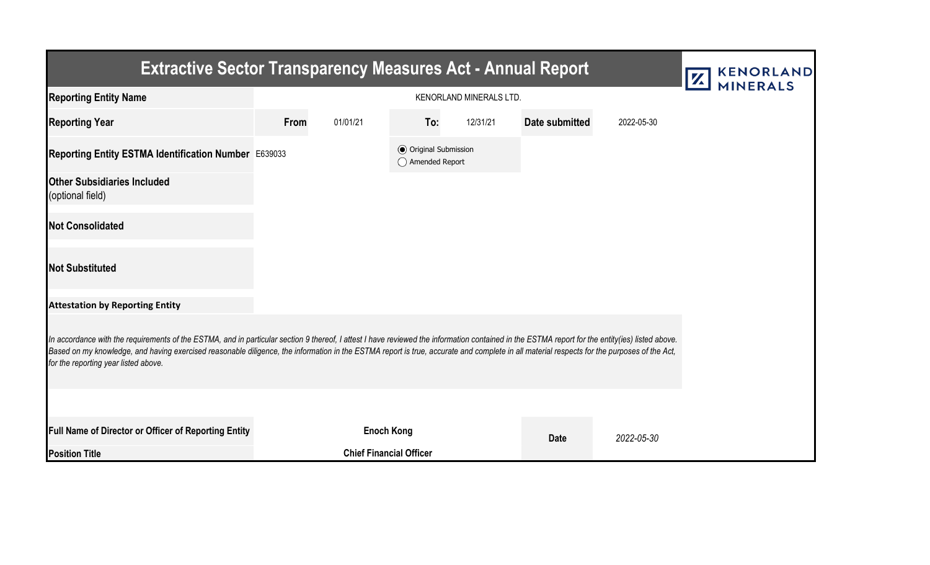| <b>Extractive Sector Transparency Measures Act - Annual Report</b>                                                                                                                                                                                                                                                                                                                                                                    |      |                                |                                                  |          |                |            | <b>KENORLAND</b><br>Z |  |  |  |  |
|---------------------------------------------------------------------------------------------------------------------------------------------------------------------------------------------------------------------------------------------------------------------------------------------------------------------------------------------------------------------------------------------------------------------------------------|------|--------------------------------|--------------------------------------------------|----------|----------------|------------|-----------------------|--|--|--|--|
| <b>Reporting Entity Name</b>                                                                                                                                                                                                                                                                                                                                                                                                          |      | <b>MINERALS</b>                |                                                  |          |                |            |                       |  |  |  |  |
| <b>Reporting Year</b>                                                                                                                                                                                                                                                                                                                                                                                                                 | From | 01/01/21                       | To:                                              | 12/31/21 | Date submitted | 2022-05-30 |                       |  |  |  |  |
| Reporting Entity ESTMA Identification Number E639033                                                                                                                                                                                                                                                                                                                                                                                  |      |                                | <b>⊙</b> Original Submission<br>◯ Amended Report |          |                |            |                       |  |  |  |  |
| <b>Other Subsidiaries Included</b><br>(optional field)                                                                                                                                                                                                                                                                                                                                                                                |      |                                |                                                  |          |                |            |                       |  |  |  |  |
| <b>Not Consolidated</b>                                                                                                                                                                                                                                                                                                                                                                                                               |      |                                |                                                  |          |                |            |                       |  |  |  |  |
| <b>Not Substituted</b>                                                                                                                                                                                                                                                                                                                                                                                                                |      |                                |                                                  |          |                |            |                       |  |  |  |  |
| <b>Attestation by Reporting Entity</b>                                                                                                                                                                                                                                                                                                                                                                                                |      |                                |                                                  |          |                |            |                       |  |  |  |  |
| In accordance with the requirements of the ESTMA, and in particular section 9 thereof, I attest I have reviewed the information contained in the ESTMA report for the entity(ies) listed above.<br>Based on my knowledge, and having exercised reasonable diligence, the information in the ESTMA report is true, accurate and complete in all material respects for the purposes of the Act,<br>for the reporting year listed above. |      |                                |                                                  |          |                |            |                       |  |  |  |  |
|                                                                                                                                                                                                                                                                                                                                                                                                                                       |      |                                |                                                  |          |                |            |                       |  |  |  |  |
| <b>Full Name of Director or Officer of Reporting Entity</b>                                                                                                                                                                                                                                                                                                                                                                           |      | <b>Enoch Kong</b>              |                                                  |          | <b>Date</b>    | 2022-05-30 |                       |  |  |  |  |
| <b>Position Title</b>                                                                                                                                                                                                                                                                                                                                                                                                                 |      | <b>Chief Financial Officer</b> |                                                  |          |                |            |                       |  |  |  |  |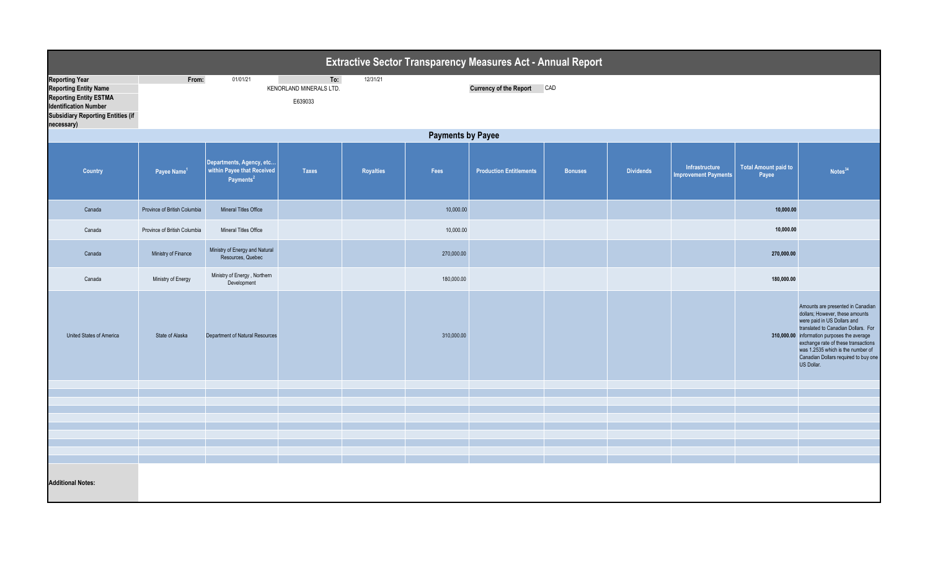| <b>Extractive Sector Transparency Measures Act - Annual Report</b>                                                                                                               |                              |                                                                                 |                                           |           |            |                                |                |                  |                                               |                                      |                                                                                                                                                                                                                                                                                                                             |  |
|----------------------------------------------------------------------------------------------------------------------------------------------------------------------------------|------------------------------|---------------------------------------------------------------------------------|-------------------------------------------|-----------|------------|--------------------------------|----------------|------------------|-----------------------------------------------|--------------------------------------|-----------------------------------------------------------------------------------------------------------------------------------------------------------------------------------------------------------------------------------------------------------------------------------------------------------------------------|--|
| <b>Reporting Year</b><br><b>Reporting Entity Name</b><br><b>Reporting Entity ESTMA</b><br><b>Identification Number</b><br><b>Subsidiary Reporting Entities (if</b><br>necessary) | From:                        | 01/01/21                                                                        | To:<br>KENORLAND MINERALS LTD.<br>E639033 | 12/31/21  |            | <b>Currency of the Report</b>  | CAD            |                  |                                               |                                      |                                                                                                                                                                                                                                                                                                                             |  |
|                                                                                                                                                                                  | <b>Payments by Payee</b>     |                                                                                 |                                           |           |            |                                |                |                  |                                               |                                      |                                                                                                                                                                                                                                                                                                                             |  |
| Country                                                                                                                                                                          | Payee Name <sup>1</sup>      | Departments, Agency, etc<br>within Payee that Received<br>Payments <sup>2</sup> | <b>Taxes</b>                              | Royalties | Fees       | <b>Production Entitlements</b> | <b>Bonuses</b> | <b>Dividends</b> | Infrastructure<br><b>Improvement Payments</b> | <b>Total Amount paid to</b><br>Payee | Notes <sup>34</sup>                                                                                                                                                                                                                                                                                                         |  |
| Canada                                                                                                                                                                           | Province of British Columbia | Mineral Titles Office                                                           |                                           |           | 10,000.00  |                                |                |                  |                                               | 10,000.00                            |                                                                                                                                                                                                                                                                                                                             |  |
| Canada                                                                                                                                                                           | Province of British Columbia | Mineral Titles Office                                                           |                                           |           | 10,000.00  |                                |                |                  |                                               | 10,000.00                            |                                                                                                                                                                                                                                                                                                                             |  |
| Canada                                                                                                                                                                           | Ministry of Finance          | Ministry of Energy and Natural<br>Resources, Quebec                             |                                           |           | 270,000.00 |                                |                |                  |                                               | 270,000.00                           |                                                                                                                                                                                                                                                                                                                             |  |
| Canada                                                                                                                                                                           | Ministry of Energy           | Ministry of Energy, Northern<br>Development                                     |                                           |           | 180,000.00 |                                |                |                  |                                               | 180,000.00                           |                                                                                                                                                                                                                                                                                                                             |  |
| United States of America                                                                                                                                                         | State of Alaska              | Department of Natural Resources                                                 |                                           |           | 310,000.00 |                                |                |                  |                                               |                                      | Amounts are presented in Canadian<br>dollars; However, these amounts<br>were paid in US Dollars and<br>translated to Canadian Dollars. For<br>310,000.00 information purposes the average<br>exchange rate of these transactions<br>was 1.2535 which is the number of<br>Canadian Dollars required to buy one<br>US Dollar. |  |
|                                                                                                                                                                                  |                              |                                                                                 |                                           |           |            |                                |                |                  |                                               |                                      |                                                                                                                                                                                                                                                                                                                             |  |
|                                                                                                                                                                                  |                              |                                                                                 |                                           |           |            |                                |                |                  |                                               |                                      |                                                                                                                                                                                                                                                                                                                             |  |
|                                                                                                                                                                                  |                              |                                                                                 |                                           |           |            |                                |                |                  |                                               |                                      |                                                                                                                                                                                                                                                                                                                             |  |
|                                                                                                                                                                                  |                              |                                                                                 |                                           |           |            |                                |                |                  |                                               |                                      |                                                                                                                                                                                                                                                                                                                             |  |
|                                                                                                                                                                                  |                              |                                                                                 |                                           |           |            |                                |                |                  |                                               |                                      |                                                                                                                                                                                                                                                                                                                             |  |
|                                                                                                                                                                                  |                              |                                                                                 |                                           |           |            |                                |                |                  |                                               |                                      |                                                                                                                                                                                                                                                                                                                             |  |
| <b>Additional Notes:</b>                                                                                                                                                         |                              |                                                                                 |                                           |           |            |                                |                |                  |                                               |                                      |                                                                                                                                                                                                                                                                                                                             |  |